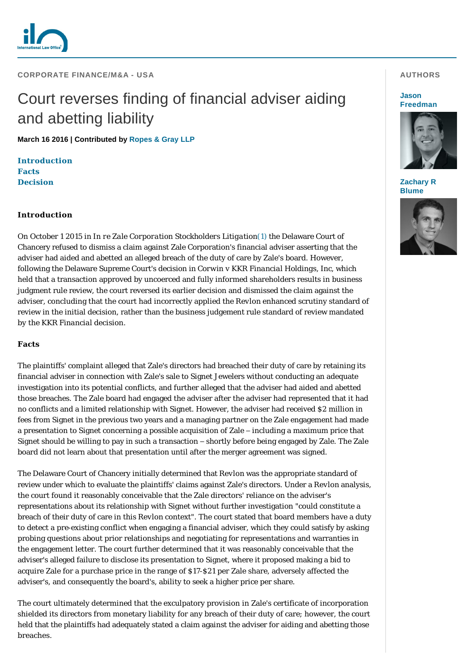

**CORPORATE FINANCE/M&A - USA** 

# Court reverses finding of financial adviser aiding and abetting liability

**March 16 2016 | Contributed by [Ropes & Gray LLP](http://www.internationallawoffice.com/gesr.ashx?l=7QVL4JM)**

**[Introduction](#page-0-0) [Facts](#page-0-1) [Decision](#page-1-0)**

## <span id="page-0-0"></span>**Introduction**

On October 1 2015 in *In re Zale Corporation Stockholders Litigation*[\(1\)](#page-1-1) the Delaware Court of Chancery refused to dismiss a claim against Zale Corporation's financial adviser asserting that the adviser had aided and abetted an alleged breach of the duty of care by Zale's board. However, following the Delaware Supreme Court's decision in *Corwin v KKR Financial Holdings, Inc*, which held that a transaction approved by uncoerced and fully informed shareholders results in business judgment rule review, the court reversed its earlier decision and dismissed the claim against the adviser, concluding that the court had incorrectly applied the *Revlon* enhanced scrutiny standard of review in the initial decision, rather than the business judgement rule standard of review mandated by the *KKR Financial* decision.

### <span id="page-0-1"></span>**Facts**

The plaintiffs' complaint alleged that Zale's directors had breached their duty of care by retaining its financial adviser in connection with Zale's sale to Signet Jewelers without conducting an adequate investigation into its potential conflicts, and further alleged that the adviser had aided and abetted those breaches. The Zale board had engaged the adviser after the adviser had represented that it had no conflicts and a limited relationship with Signet. However, the adviser had received \$2 million in fees from Signet in the previous two years and a managing partner on the Zale engagement had made a presentation to Signet concerning a possible acquisition of Zale – including a maximum price that Signet should be willing to pay in such a transaction – shortly before being engaged by Zale. The Zale board did not learn about that presentation until after the merger agreement was signed.

The Delaware Court of Chancery initially determined that *Revlon* was the appropriate standard of review under which to evaluate the plaintiffs' claims against Zale's directors. Under a *Revlon* analysis, the court found it reasonably conceivable that the Zale directors' reliance on the adviser's representations about its relationship with Signet without further investigation "could constitute a breach of their duty of care in this *Revlon* context". The court stated that board members have a duty to detect a pre-existing conflict when engaging a financial adviser, which they could satisfy by asking probing questions about prior relationships and negotiating for representations and warranties in the engagement letter. The court further determined that it was reasonably conceivable that the adviser's alleged failure to disclose its presentation to Signet, where it proposed making a bid to acquire Zale for a purchase price in the range of \$17-\$21 per Zale share, adversely affected the adviser's, and consequently the board's, ability to seek a higher price per share.

The court ultimately determined that the exculpatory provision in Zale's certificate of incorporation shielded its directors from monetary liability for any breach of their duty of care; however, the court held that the plaintiffs had adequately stated a claim against the adviser for aiding and abetting those breaches.

## **AUTHORS**

#### **Jason [Freedman](http://www.internationallawoffice.com/gesr.ashx?l=7QVL4JQ)**



#### **[Zachary R](http://www.internationallawoffice.com/gesr.ashx?l=7QVL4K2)  Blume**